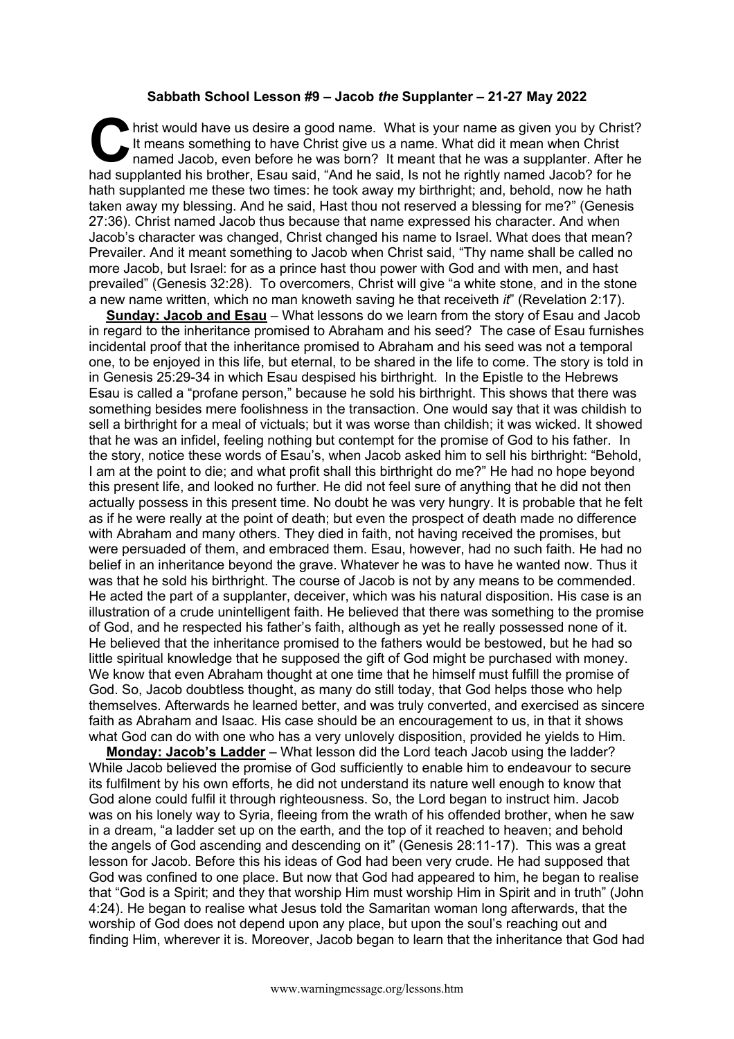## **Sabbath School Lesson #9 – Jacob** *the* **Supplanter – 21-27 May 2022**

hrist would have us desire a good name. What is your name as given you by Christ? It means something to have Christ give us a name. What did it mean when Christ named Jacob, even before he was born? It meant that he was a supplanter. After he hrist would have us desire a good name. What is your name as given you by Christ<br>It means something to have Christ give us a name. What did it mean when Christ<br>named Jacob, even before he was born? It meant that he was a s hath supplanted me these two times: he took away my birthright: and, behold, now he hath taken away my blessing. And he said, Hast thou not reserved a blessing for me?" (Genesis 27:36). Christ named Jacob thus because that name expressed his character. And when Jacob's character was changed, Christ changed his name to Israel. What does that mean? Prevailer. And it meant something to Jacob when Christ said, "Thy name shall be called no more Jacob, but Israel: for as a prince hast thou power with God and with men, and hast prevailed" (Genesis 32:28). To overcomers, Christ will give "a white stone, and in the stone a new name written, which no man knoweth saving he that receiveth *it*" (Revelation 2:17).

**Sunday: Jacob and Esau** – What lessons do we learn from the story of Esau and Jacob in regard to the inheritance promised to Abraham and his seed? The case of Esau furnishes incidental proof that the inheritance promised to Abraham and his seed was not a temporal one, to be enjoyed in this life, but eternal, to be shared in the life to come. The story is told in in Genesis 25:29-34 in which Esau despised his birthright. In the Epistle to the Hebrews Esau is called a "profane person," because he sold his birthright. This shows that there was something besides mere foolishness in the transaction. One would say that it was childish to sell a birthright for a meal of victuals; but it was worse than childish; it was wicked. It showed that he was an infidel, feeling nothing but contempt for the promise of God to his father. In the story, notice these words of Esau's, when Jacob asked him to sell his birthright: "Behold, I am at the point to die; and what profit shall this birthright do me?" He had no hope beyond this present life, and looked no further. He did not feel sure of anything that he did not then actually possess in this present time. No doubt he was very hungry. It is probable that he felt as if he were really at the point of death; but even the prospect of death made no difference with Abraham and many others. They died in faith, not having received the promises, but were persuaded of them, and embraced them. Esau, however, had no such faith. He had no belief in an inheritance beyond the grave. Whatever he was to have he wanted now. Thus it was that he sold his birthright. The course of Jacob is not by any means to be commended. He acted the part of a supplanter, deceiver, which was his natural disposition. His case is an illustration of a crude unintelligent faith. He believed that there was something to the promise of God, and he respected his father's faith, although as yet he really possessed none of it. He believed that the inheritance promised to the fathers would be bestowed, but he had so little spiritual knowledge that he supposed the gift of God might be purchased with money. We know that even Abraham thought at one time that he himself must fulfill the promise of God. So, Jacob doubtless thought, as many do still today, that God helps those who help themselves. Afterwards he learned better, and was truly converted, and exercised as sincere faith as Abraham and Isaac. His case should be an encouragement to us, in that it shows what God can do with one who has a very unlovely disposition, provided he yields to Him.

**Monday: Jacob's Ladder** – What lesson did the Lord teach Jacob using the ladder? While Jacob believed the promise of God sufficiently to enable him to endeavour to secure its fulfilment by his own efforts, he did not understand its nature well enough to know that God alone could fulfil it through righteousness. So, the Lord began to instruct him. Jacob was on his lonely way to Syria, fleeing from the wrath of his offended brother, when he saw in a dream, "a ladder set up on the earth, and the top of it reached to heaven; and behold the angels of God ascending and descending on it" (Genesis 28:11-17). This was a great lesson for Jacob. Before this his ideas of God had been very crude. He had supposed that God was confined to one place. But now that God had appeared to him, he began to realise that "God is a Spirit; and they that worship Him must worship Him in Spirit and in truth" (John 4:24). He began to realise what Jesus told the Samaritan woman long afterwards, that the worship of God does not depend upon any place, but upon the soul's reaching out and finding Him, wherever it is. Moreover, Jacob began to learn that the inheritance that God had